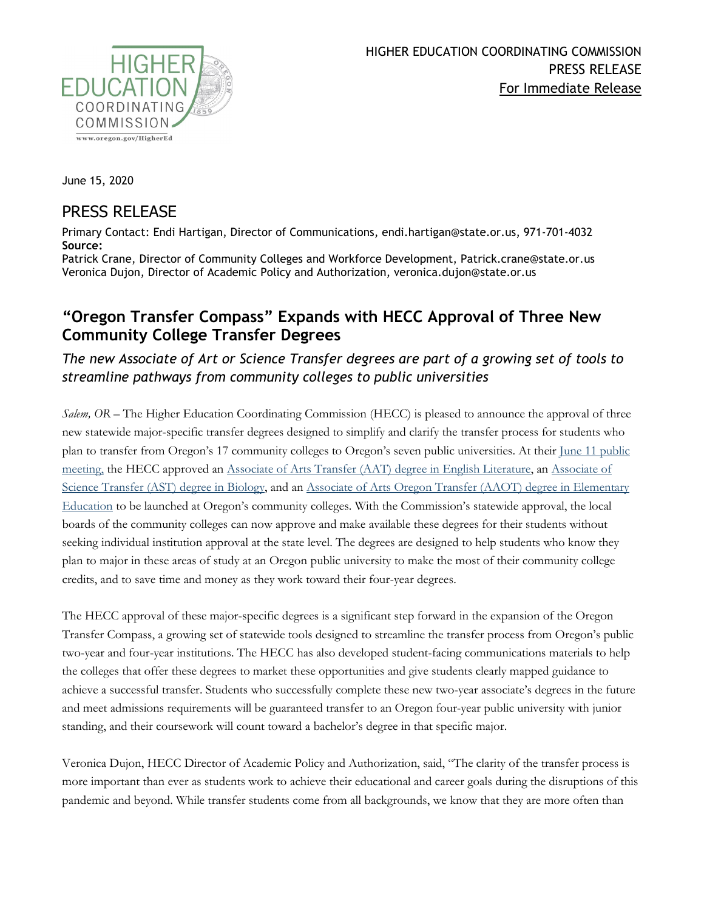

June 15, 2020

## PRESS RELEASE

Primary Contact: Endi Hartigan, Director of Communications, endi.hartigan@state.or.us, 971-701-4032 **Source:**

Patrick Crane, Director of Community Colleges and Workforce Development, Patrick.crane@state.or.us Veronica Dujon, Director of Academic Policy and Authorization, veronica.dujon@state.or.us

## **"Oregon Transfer Compass" Expands with HECC Approval of Three New Community College Transfer Degrees**

*The new Associate of Art or Science Transfer degrees are part of a growing set of tools to streamline pathways from community colleges to public universities*

*Salem, OR –* The Higher Education Coordinating Commission (HECC) is pleased to announce the approval of three new statewide major-specific transfer degrees designed to simplify and clarify the transfer process for students who plan to transfer from Oregon's 17 community colleges to Oregon's seven public universities. At their [June 11 public](https://www.oregon.gov/highered/about/Pages/current-materials.aspx)  [meeting,](https://www.oregon.gov/highered/about/Pages/current-materials.aspx) the HECC approved an [Associate of Arts Transfer \(AAT\) degree in English Literature,](https://www.oregon.gov/highered/policy-collaboration/Documents/Transfer-Credit/2998/English-MOU-MTM-2020.pdf) an [Associate of](https://www.oregon.gov/highered/policy-collaboration/Documents/Transfer-Credit/2998/Biology-MTM-MOU-2020.pdf)  Science Transfer [\(AST\) degree in Biology,](https://www.oregon.gov/highered/policy-collaboration/Documents/Transfer-Credit/2998/Biology-MTM-MOU-2020.pdf) and an Associate of Arts Oregon Transfer (AAOT) degree in Elementary [Education](https://www.oregon.gov/highered/policy-collaboration/Documents/Transfer-Credit/2998/Elementary-Ed-MTM-MOU-2020.pdf) to be launched at Oregon's community colleges. With the Commission's statewide approval, the local boards of the community colleges can now approve and make available these degrees for their students without seeking individual institution approval at the state level. The degrees are designed to help students who know they plan to major in these areas of study at an Oregon public university to make the most of their community college credits, and to save time and money as they work toward their four-year degrees.

The HECC approval of these major-specific degrees is a significant step forward in the expansion of the Oregon Transfer Compass, a growing set of statewide tools designed to streamline the transfer process from Oregon's public two-year and four-year institutions. The HECC has also developed student-facing communications materials to help the colleges that offer these degrees to market these opportunities and give students clearly mapped guidance to achieve a successful transfer. Students who successfully complete these new two-year associate's degrees in the future and meet admissions requirements will be guaranteed transfer to an Oregon four-year public university with junior standing, and their coursework will count toward a bachelor's degree in that specific major.

Veronica Dujon, HECC Director of Academic Policy and Authorization, said, "The clarity of the transfer process is more important than ever as students work to achieve their educational and career goals during the disruptions of this pandemic and beyond. While transfer students come from all backgrounds, we know that they are more often than